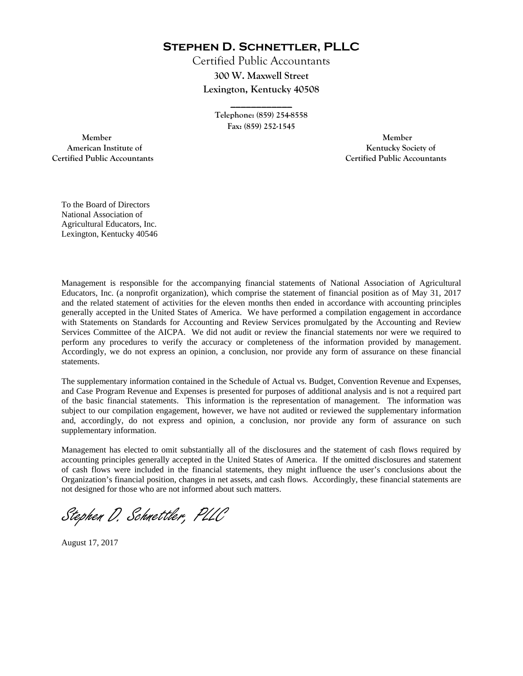**Stephen D. Schnettler, PLLC**

Certified Public Accountants **300 W. Maxwell Street Lexington, Kentucky 40508** 

> **Telephone: (859) 254-8558 Fax: (859) 252-1545**

**\_\_\_\_\_\_\_\_\_\_\_\_** 

 **Member Member Certified Public Accountants Certified Public Accountants** 

American Institute of **Kentucky Society of** 

To the Board of Directors National Association of Agricultural Educators, Inc. Lexington, Kentucky 40546

Management is responsible for the accompanying financial statements of National Association of Agricultural Educators, Inc. (a nonprofit organization), which comprise the statement of financial position as of May 31, 2017 and the related statement of activities for the eleven months then ended in accordance with accounting principles generally accepted in the United States of America. We have performed a compilation engagement in accordance with Statements on Standards for Accounting and Review Services promulgated by the Accounting and Review Services Committee of the AICPA. We did not audit or review the financial statements nor were we required to perform any procedures to verify the accuracy or completeness of the information provided by management. Accordingly, we do not express an opinion, a conclusion, nor provide any form of assurance on these financial statements.

The supplementary information contained in the Schedule of Actual vs. Budget, Convention Revenue and Expenses, and Case Program Revenue and Expenses is presented for purposes of additional analysis and is not a required part of the basic financial statements. This information is the representation of management. The information was subject to our compilation engagement, however, we have not audited or reviewed the supplementary information and, accordingly, do not express and opinion, a conclusion, nor provide any form of assurance on such supplementary information.

Management has elected to omit substantially all of the disclosures and the statement of cash flows required by accounting principles generally accepted in the United States of America. If the omitted disclosures and statement of cash flows were included in the financial statements, they might influence the user's conclusions about the Organization's financial position, changes in net assets, and cash flows. Accordingly, these financial statements are not designed for those who are not informed about such matters.

Stephen D. Schnettler, PLLC

August 17, 2017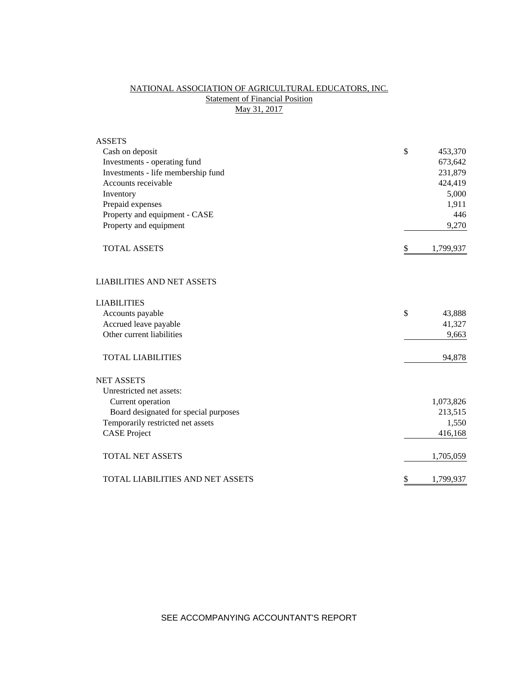# NATIONAL ASSOCIATION OF AGRICULTURAL EDUCATORS, INC. **Statement of Financial Position** May 31, 2017

| <b>ASSETS</b>                           |                 |
|-----------------------------------------|-----------------|
| Cash on deposit                         | \$<br>453,370   |
| Investments - operating fund            | 673,642         |
| Investments - life membership fund      | 231,879         |
| Accounts receivable                     | 424,419         |
| Inventory                               | 5,000           |
| Prepaid expenses                        | 1,911           |
| Property and equipment - CASE           | 446             |
| Property and equipment                  | 9,270           |
| <b>TOTAL ASSETS</b>                     | \$<br>1,799,937 |
| <b>LIABILITIES AND NET ASSETS</b>       |                 |
| <b>LIABILITIES</b>                      |                 |
| Accounts payable                        | \$<br>43,888    |
| Accrued leave payable                   | 41,327          |
| Other current liabilities               | 9,663           |
| <b>TOTAL LIABILITIES</b>                | 94,878          |
| <b>NET ASSETS</b>                       |                 |
| Unrestricted net assets:                |                 |
| Current operation                       | 1,073,826       |
| Board designated for special purposes   | 213,515         |
| Temporarily restricted net assets       | 1,550           |
| <b>CASE Project</b>                     | 416,168         |
| <b>TOTAL NET ASSETS</b>                 | 1,705,059       |
| <b>TOTAL LIABILITIES AND NET ASSETS</b> | \$<br>1,799,937 |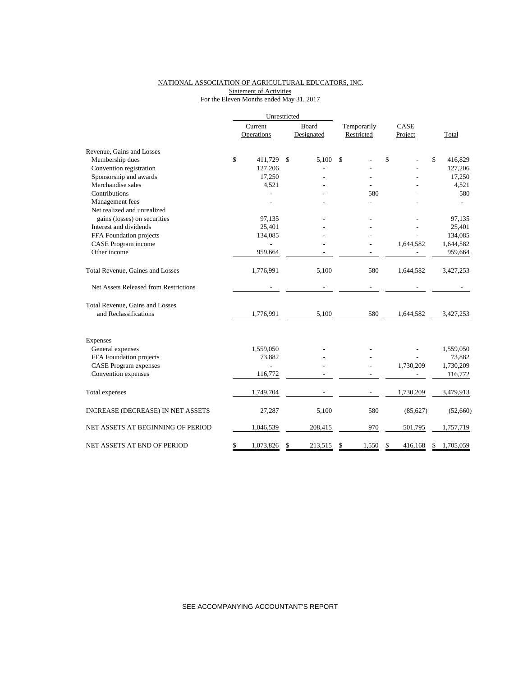## NATIONAL ASSOCIATION OF AGRICULTURAL EDUCATORS, INC. Statement of Activities For the Eleven Months ended May 31, 2017

|                                       | Unrestricted |            |       |            |             |               |                 |
|---------------------------------------|--------------|------------|-------|------------|-------------|---------------|-----------------|
|                                       |              | Current    | Board |            | Temporarily | CASE          |                 |
|                                       |              | Operations |       | Designated | Restricted  | Project       | Total           |
| Revenue, Gains and Losses             |              |            |       |            |             |               |                 |
| Membership dues                       | \$           | 411,729    | \$    | 5.100      | \$          | \$            | \$<br>416,829   |
| Convention registration               |              | 127,206    |       |            |             |               | 127,206         |
| Sponsorship and awards                |              | 17,250     |       |            |             |               | 17,250          |
| Merchandise sales                     |              | 4,521      |       |            |             |               | 4,521           |
| Contributions                         |              |            |       |            | 580         |               | 580             |
| Management fees                       |              |            |       |            |             |               |                 |
| Net realized and unrealized           |              |            |       |            |             |               |                 |
| gains (losses) on securities          |              | 97,135     |       |            |             |               | 97,135          |
| Interest and dividends                |              | 25,401     |       |            |             |               | 25,401          |
| FFA Foundation projects               |              | 134,085    |       |            |             |               | 134,085         |
| CASE Program income                   |              |            |       |            |             | 1,644,582     | 1,644,582       |
| Other income                          |              | 959,664    |       |            |             |               | 959,664         |
| Total Revenue, Gaines and Losses      |              | 1,776,991  |       | 5,100      | 580         | 1,644,582     | 3,427,253       |
| Net Assets Released from Restrictions |              |            |       |            |             |               |                 |
| Total Revenue, Gains and Losses       |              |            |       |            |             |               |                 |
| and Reclassifications                 |              | 1,776,991  |       | 5,100      | 580         | 1,644,582     | 3,427,253       |
| Expenses                              |              |            |       |            |             |               |                 |
| General expenses                      |              | 1,559,050  |       |            |             |               | 1,559,050       |
| FFA Foundation projects               |              | 73,882     |       |            |             |               | 73,882          |
| <b>CASE Program expenses</b>          |              |            |       |            |             | 1,730,209     | 1,730,209       |
| Convention expenses                   |              | 116,772    |       |            |             |               | 116,772         |
| Total expenses                        |              | 1,749,704  |       |            |             | 1,730,209     | 3,479,913       |
| INCREASE (DECREASE) IN NET ASSETS     |              | 27,287     |       | 5,100      | 580         | (85, 627)     | (52,660)        |
| NET ASSETS AT BEGINNING OF PERIOD     |              | 1,046,539  |       | 208,415    | 970         | 501,795       | 1,757,719       |
| NET ASSETS AT END OF PERIOD           | \$           | 1,073,826  | \$    | 213,515    | \$<br>1,550 | \$<br>416,168 | \$<br>1,705,059 |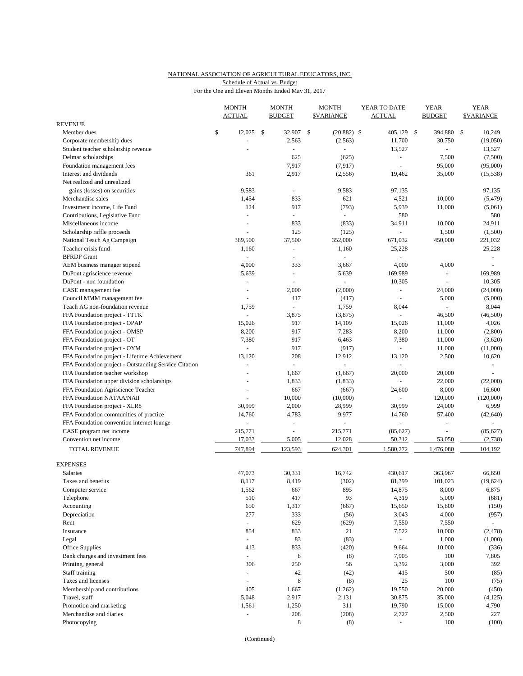## NATIONAL ASSOCIATION OF AGRICULTURAL EDUCATORS, INC. For the One and Eleven Months Ended May 31, 2017 Schedule of Actual vs. Budget

|                                                       | <b>MONTH</b><br><b>ACTUAL</b> |     | <b>MONTH</b><br><b>BUDGET</b> | <b>MONTH</b><br><b>\$VARIANCE</b> | YEAR TO DATE<br><b>ACTUAL</b> |              | <b>YEAR</b><br><b>BUDGET</b> | <b>YEAR</b><br><b>\$VARIANCE</b> |
|-------------------------------------------------------|-------------------------------|-----|-------------------------------|-----------------------------------|-------------------------------|--------------|------------------------------|----------------------------------|
| REVENUE                                               |                               |     |                               |                                   |                               |              |                              |                                  |
| Member dues                                           | \$<br>12,025                  | -\$ | 32,907                        | \$<br>$(20, 882)$ \$              | 405,129                       | $\mathbb{S}$ | 394,880                      | \$<br>10,249                     |
| Corporate membership dues                             |                               |     | 2,563                         | (2, 563)                          | 11,700                        |              | 30,750                       | (19,050)                         |
| Student teacher scholarship revenue                   | L,                            |     | $\omega$                      |                                   | 13,527                        |              |                              | 13,527                           |
| Delmar scholarships                                   |                               |     | 625                           | (625)                             |                               |              | 7,500                        | (7,500)                          |
| Foundation management fees                            |                               |     | 7,917                         | (7, 917)                          | L,                            |              | 95,000                       | (95,000)                         |
| Interest and dividends                                | 361                           |     | 2,917                         | (2, 556)                          | 19,462                        |              | 35,000                       | (15, 538)                        |
| Net realized and unrealized                           |                               |     |                               |                                   |                               |              |                              |                                  |
| gains (losses) on securities<br>Merchandise sales     | 9,583<br>1,454                |     | $\omega$<br>833               | 9,583<br>621                      | 97,135                        |              |                              | 97,135                           |
| Investment income, Life Fund                          | 124                           |     | 917                           | (793)                             | 4,521<br>5,939                |              | 10,000<br>11,000             | (5, 479)<br>(5,061)              |
| Contributions, Legislative Fund                       | ÷,                            |     | ä,                            | $\omega$                          | 580                           |              |                              | 580                              |
| Miscellaneous income                                  |                               |     | 833                           | (833)                             | 34,911                        |              | 10,000                       | 24,911                           |
| Scholarship raffle proceeds                           | ÷,                            |     | 125                           | (125)                             | ÷.                            |              | 1,500                        | (1,500)                          |
| National Teach Ag Campaign                            | 389,500                       |     | 37,500                        | 352,000                           | 671,032                       |              | 450,000                      | 221,032                          |
| Teacher crisis fund                                   | 1,160                         |     | $\sim$                        | 1,160                             | 25,228                        |              |                              | 25,228                           |
| <b>BFRDP</b> Grant                                    | $\overline{a}$                |     | L,                            |                                   |                               |              |                              | $\omega$                         |
| AEM business manager stipend                          | 4,000                         |     | 333                           | 3,667                             | 4,000                         |              | 4,000                        |                                  |
| DuPont agriscience revenue                            | 5,639                         |     | ÷,                            | 5,639                             | 169,989                       |              | ÷,                           | 169,989                          |
| DuPont - non foundation                               | ÷,                            |     | ä,                            |                                   | 10,305                        |              | $\bar{a}$                    | 10,305                           |
| CASE management fee                                   | $\blacksquare$                |     | 2,000                         | (2,000)                           |                               |              | 24,000                       | (24,000)                         |
| Council MMM management fee                            | $\sim$                        |     | 417                           | (417)                             | $\sim$                        |              | 5,000                        | (5,000)                          |
| Teach AG non-foundation revenue                       | 1,759                         |     | ÷,                            | 1,759                             | 8,044                         |              | $\overline{a}$               | 8,044                            |
| FFA Foundation project - TTTK                         |                               |     | 3,875                         | (3,875)                           | ÷,                            |              | 46,500                       | (46,500)                         |
| FFA Foundation project - OPAP                         | 15,026                        |     | 917                           | 14,109                            | 15,026                        |              | 11,000                       | 4,026                            |
| FFA Foundation project - OMSP                         | 8,200                         |     | 917                           | 7,283                             | 8,200                         |              | 11,000                       | (2,800)                          |
| FFA Foundation project - OT                           | 7,380                         |     | 917                           | 6,463                             | 7,380                         |              | 11,000                       | (3,620)                          |
| FFA Foundation project - OYM                          |                               |     | 917                           | (917)                             | $\omega$                      |              | 11,000                       | (11,000)                         |
| FFA Foundation project - Lifetime Achievement         | 13,120                        |     | 208                           | 12,912                            | 13,120                        |              | 2,500                        | 10,620                           |
| FFA Foundation project - Outstanding Service Citation | L.                            |     | L.                            |                                   |                               |              |                              | $\bar{a}$                        |
| FFA Foundation teacher workshop                       |                               |     | 1,667                         | (1,667)                           | 20,000                        |              | 20,000                       |                                  |
| FFA Foundation upper division scholarships            |                               |     | 1,833                         | (1,833)                           |                               |              | 22,000                       | (22,000)                         |
| FFA Foundation Agriscience Teacher                    | L,                            |     | 667                           | (667)                             | 24,600                        |              | 8,000                        | 16,600                           |
| FFA Foundation NATAA/NAII                             |                               |     | 10,000                        | (10,000)                          |                               |              | 120,000                      | (120,000)                        |
| FFA Foundation project - XLR8                         | 30,999                        |     | 2,000                         | 28,999                            | 30,999                        |              | 24,000                       | 6,999                            |
| FFA Foundation communities of practice                | 14,760                        |     | 4,783                         | 9,977                             | 14,760                        |              | 57,400                       | (42, 640)                        |
| FFA Foundation convention internet lounge             | ÷.                            |     | $\blacksquare$                |                                   |                               |              |                              |                                  |
| CASE program net income                               | 215,771                       |     | J.                            | 215,771                           | (85, 627)                     |              |                              | (85, 627)                        |
| Convention net income                                 | 17,033                        |     | 5,005                         | 12,028                            | 50,312                        |              | 53,050                       | (2,738)                          |
| TOTAL REVENUE                                         | 747,894                       |     | 123,593                       | 624,301                           | 1,580,272                     |              | 1,476,080                    | 104,192                          |
| EXPENSES                                              |                               |     |                               |                                   |                               |              |                              |                                  |
| Salaries                                              | 47,073                        |     | 30,331                        | 16,742                            | 430,617                       |              | 363,967                      | 66,650                           |
| Taxes and benefits                                    | 8,117                         |     | 8,419                         | (302)                             | 81,399                        |              | 101,023                      | (19, 624)                        |
| Computer service                                      | 1,562                         |     | 667                           | 895                               | 14,875                        |              | 8,000                        | 6,875                            |
| Telephone                                             | 510                           |     | 417                           | 93                                | 4,319                         |              | 5,000                        | (681)                            |
| Accounting                                            | 650                           |     | 1,317                         | (667)                             | 15,650                        |              | 15,800                       | (150)                            |
| Depreciation                                          | 277                           |     | 333                           | (56)                              | 3,043                         |              | 4,000                        | (957)                            |
| Rent                                                  | $\omega_{\rm c}$              |     | 629                           | (629)                             | 7,550                         |              | 7,550                        | $\omega$                         |
| Insurance                                             | 854                           |     | 833                           | 21                                | 7,522                         |              | 10,000                       | (2, 478)                         |
| Legal                                                 | ÷.                            |     | 83                            | (83)                              | $\omega$                      |              | 1,000                        | (1,000)                          |
| Office Supplies                                       | 413                           |     | 833                           | (420)                             | 9,664                         |              | 10,000                       | (336)                            |
| Bank charges and investment fees                      | $\blacksquare$                |     | $\,8\,$                       | (8)                               | 7,905                         |              | 100                          | 7,805                            |
| Printing, general                                     | 306                           |     | 250                           | 56                                | 3,392                         |              | 3,000                        | 392                              |
| Staff training                                        |                               |     | $42\,$                        | (42)                              | 415                           |              | 500                          | (85)                             |
| Taxes and licenses                                    | L.                            |     | 8                             | (8)                               | 25                            |              | 100                          | (75)                             |
| Membership and contributions                          | 405                           |     | 1,667                         | (1,262)                           | 19,550                        |              | 20,000                       | (450)                            |
| Travel, staff                                         | 5,048                         |     | 2,917                         | 2,131                             | 30,875                        |              | 35,000                       | (4, 125)                         |
| Promotion and marketing                               | 1,561                         |     | 1,250                         | 311                               | 19,790                        |              | 15,000                       | 4,790                            |
| Merchandise and diaries                               | ÷,                            |     | 208                           | (208)                             | 2,727                         |              | 2,500                        | 227                              |
| Photocopying                                          |                               |     | 8                             | (8)                               | $\sim$                        |              | 100                          | (100)                            |

(Continued)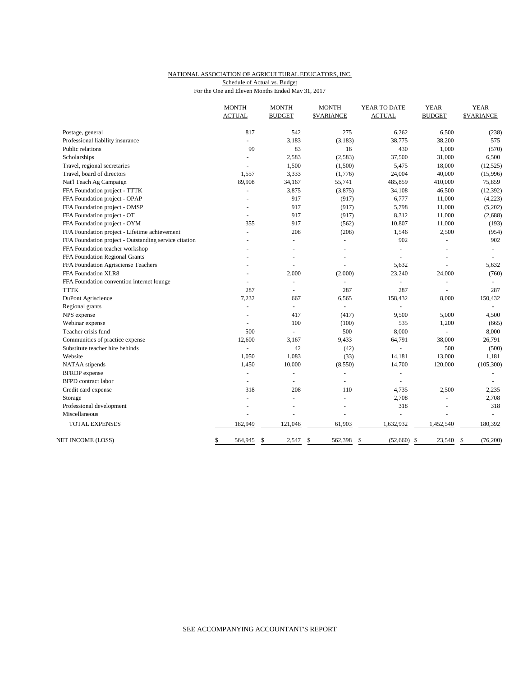## NATIONAL ASSOCIATION OF AGRICULTURAL EDUCATORS, INC. Schedule of Actual vs. Budget

For the One and Eleven Months Ended May 31, 2017

|                                                       | <b>MONTH</b><br><b>ACTUAL</b> | <b>MONTH</b><br><b>BUDGET</b> | <b>MONTH</b><br><b>\$VARIANCE</b> | YEAR TO DATE<br><b>ACTUAL</b> | <b>YEAR</b><br><b>BUDGET</b> | <b>YEAR</b><br><b>\$VARIANCE</b> |
|-------------------------------------------------------|-------------------------------|-------------------------------|-----------------------------------|-------------------------------|------------------------------|----------------------------------|
| Postage, general                                      | 817                           | 542                           | 275                               | 6,262                         | 6,500                        | (238)                            |
| Professional liability insurance                      | L.                            | 3,183                         | (3, 183)                          | 38,775                        | 38,200                       | 575                              |
| Public relations                                      | 99                            | 83                            | 16                                | 430                           | 1,000                        | (570)                            |
| Scholarships                                          | L.                            | 2,583                         | (2, 583)                          | 37,500                        | 31,000                       | 6,500                            |
| Travel, regional secretaries                          | L.                            | 1,500                         | (1,500)                           | 5,475                         | 18,000                       | (12, 525)                        |
| Travel, board of directors                            | 1,557                         | 3,333                         | (1,776)                           | 24,004                        | 40,000                       | (15,996)                         |
| Nat'l Teach Ag Campaign                               | 89,908                        | 34,167                        | 55,741                            | 485,859                       | 410,000                      | 75,859                           |
| FFA Foundation project - TTTK                         |                               | 3,875                         | (3,875)                           | 34,108                        | 46,500                       | (12, 392)                        |
| FFA Foundation project - OPAP                         |                               | 917                           | (917)                             | 6,777                         | 11,000                       | (4,223)                          |
| FFA Foundation project - OMSP                         |                               | 917                           | (917)                             | 5,798                         | 11,000                       | (5,202)                          |
| FFA Foundation project - OT                           |                               | 917                           | (917)                             | 8,312                         | 11,000                       | (2,688)                          |
| FFA Foundation project - OYM                          | 355                           | 917                           | (562)                             | 10,807                        | 11,000                       | (193)                            |
| FFA Foundation project - Lifetime achievement         | $\overline{a}$                | 208                           | (208)                             | 1,546                         | 2,500                        | (954)                            |
| FFA Foundation project - Outstanding service citation |                               |                               | ÷                                 | 902                           | $\overline{a}$               | 902                              |
| FFA Foundation teacher workshop                       |                               |                               |                                   |                               |                              | $\overline{a}$                   |
| FFA Foundation Regional Grants                        |                               |                               |                                   |                               |                              |                                  |
| FFA Foundation Agrisciense Teachers                   |                               |                               |                                   | 5,632                         |                              | 5,632                            |
| FFA Foundation XLR8                                   |                               | 2,000                         | (2,000)                           | 23,240                        | 24,000                       | (760)                            |
| FFA Foundation convention internet lounge             |                               |                               |                                   |                               |                              |                                  |
| <b>TTTK</b>                                           | 287                           | $\overline{a}$                | 287                               | 287                           | L.                           | 287                              |
| DuPont Agriscience                                    | 7,232                         | 667                           | 6,565                             | 158,432                       | 8,000                        | 150,432                          |
| Regional grants                                       | ä,                            | $\blacksquare$                | $\blacksquare$                    | ÷,                            |                              | $\sim$                           |
| NPS expense                                           |                               | 417                           | (417)                             | 9,500                         | 5,000                        | 4,500                            |
| Webinar expense                                       | L.                            | 100                           | (100)                             | 535                           | 1,200                        | (665)                            |
| Teacher crisis fund                                   | 500                           | $\overline{a}$                | 500                               | 8,000                         |                              | 8,000                            |
| Communities of practice expense                       | 12,600                        | 3,167                         | 9,433                             | 64,791                        | 38,000                       | 26,791                           |
| Substitute teacher hire behinds                       | $\overline{a}$                | 42                            | (42)                              | $\overline{a}$                | 500                          | (500)                            |
| Website                                               | 1,050                         | 1,083                         | (33)                              | 14,181                        | 13,000                       | 1,181                            |
| NATAA stipends                                        | 1,450                         | 10,000                        | (8,550)                           | 14,700                        | 120,000                      | (105, 300)                       |
| <b>BFRDP</b> expense                                  | $\overline{a}$                | $\overline{a}$                |                                   | $\sim$                        |                              |                                  |
| <b>BFPD</b> contract labor                            |                               |                               |                                   |                               |                              |                                  |
| Credit card expense                                   | 318                           | 208                           | 110                               | 4,735                         | 2,500                        | 2,235                            |
| Storage                                               | ÷,                            | ÷,                            | ÷                                 | 2,708                         | $\overline{a}$               | 2,708                            |
| Professional development                              | ä,                            |                               | $\overline{a}$                    | 318                           |                              | 318                              |
| Miscellaneous                                         |                               |                               | $\overline{a}$                    | $\overline{a}$                | $\overline{\phantom{a}}$     | $\sim$                           |
| TOTAL EXPENSES                                        | 182,949                       | 121,046                       | 61,903                            | 1,632,932                     | 1,452,540                    | 180,392                          |
| NET INCOME (LOSS)                                     | 564,945<br>\$                 | \$<br>2,547                   | \$<br>562,398                     | (52,660)<br>\$                | \$<br>23,540                 | (76,200)<br>\$                   |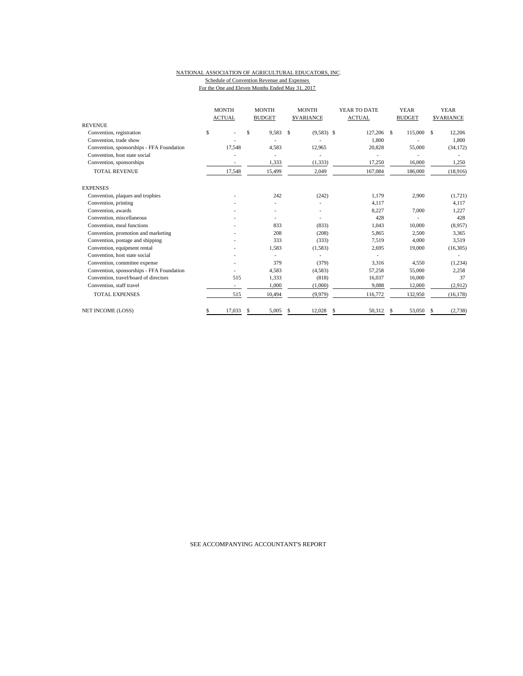### NATIONAL ASSOCIATION OF AGRICULTURAL EDUCATORS, INC. Schedule of Convention Revenue and Expenses For the One and Eleven Months Ended May 31, 2017

|                                           |    | <b>MONTH</b><br><b>ACTUAL</b> |    | <b>MONTH</b><br><b>BUDGET</b> |               | <b>MONTH</b><br><b>SVARIANCE</b> |    |            |    | YEAR TO DATE<br><b>ACTUAL</b> |     |           |  | <b>YEAR</b><br><b>BUDGET</b> |  | <b>YEAR</b><br><b>SVARIANCE</b> |
|-------------------------------------------|----|-------------------------------|----|-------------------------------|---------------|----------------------------------|----|------------|----|-------------------------------|-----|-----------|--|------------------------------|--|---------------------------------|
| <b>REVENUE</b>                            |    |                               | \$ | 9.583                         |               |                                  |    | 127,206 \$ |    |                               | \$. |           |  |                              |  |                                 |
| Convention, registration                  | \$ |                               |    |                               | <sup>\$</sup> | $(9,583)$ \$                     |    |            |    | 115,000                       |     | 12,206    |  |                              |  |                                 |
| Convention, trade show                    |    |                               |    |                               |               |                                  |    | 1.800      |    |                               |     | 1,800     |  |                              |  |                                 |
| Convention, sponsorships - FFA Foundation |    | 17,548                        |    | 4,583                         |               | 12,965                           |    | 20,828     |    | 55,000                        |     | (34, 172) |  |                              |  |                                 |
| Convention, host state social             |    |                               |    |                               |               |                                  |    |            |    |                               |     |           |  |                              |  |                                 |
| Convention, sponsorships                  |    |                               |    | 1,333                         |               | (1, 333)                         |    | 17,250     |    | 16,000                        |     | 1,250     |  |                              |  |                                 |
| <b>TOTAL REVENUE</b>                      |    | 17,548                        |    | 15,499                        |               | 2,049                            |    | 167,084    |    | 186,000                       |     | (18,916)  |  |                              |  |                                 |
| <b>EXPENSES</b>                           |    |                               |    |                               |               |                                  |    |            |    |                               |     |           |  |                              |  |                                 |
| Convention, plaques and trophies          |    |                               |    | 242                           |               | (242)                            |    | 1.179      |    | 2,900                         |     | (1, 721)  |  |                              |  |                                 |
| Convention, printing                      |    |                               |    |                               |               |                                  |    | 4,117      |    |                               |     | 4,117     |  |                              |  |                                 |
| Convention, awards                        |    |                               |    |                               |               |                                  |    | 8.227      |    | 7.000                         |     | 1,227     |  |                              |  |                                 |
| Convention, miscellaneous                 |    |                               |    |                               |               |                                  |    | 428        |    |                               |     | 428       |  |                              |  |                                 |
| Convention, meal functions                |    |                               |    | 833                           |               | (833)                            |    | 1,043      |    | 10,000                        |     | (8,957)   |  |                              |  |                                 |
| Convention, promotion and marketing       |    |                               |    | 208                           |               | (208)                            |    | 5,865      |    | 2,500                         |     | 3,365     |  |                              |  |                                 |
| Convention, postage and shipping          |    |                               |    | 333                           |               | (333)                            |    | 7,519      |    | 4.000                         |     | 3,519     |  |                              |  |                                 |
| Convention, equipment rental              |    |                               |    | 1,583                         |               | (1,583)                          |    | 2,695      |    | 19,000                        |     | (16,305)  |  |                              |  |                                 |
| Convention, host state social             |    |                               |    |                               |               |                                  |    |            |    |                               |     |           |  |                              |  |                                 |
| Convention, committee expense             |    |                               |    | 379                           |               | (379)                            |    | 3,316      |    | 4,550                         |     | (1,234)   |  |                              |  |                                 |
| Convention, sponsorships - FFA Foundation |    |                               |    | 4,583                         |               | (4,583)                          |    | 57,258     |    | 55,000                        |     | 2,258     |  |                              |  |                                 |
| Convention, travel/board of directors     |    | 515                           |    | 1,333                         |               | (818)                            |    | 16,037     |    | 16,000                        |     | 37        |  |                              |  |                                 |
| Convention, staff travel                  |    | $\sim$                        |    | 1,000                         |               | (1,000)                          |    | 9,088      |    | 12,000                        |     | (2,912)   |  |                              |  |                                 |
| <b>TOTAL EXPENSES</b>                     |    | 515                           |    | 10,494                        |               | (9,979)                          |    | 116,772    |    | 132,950                       |     | (16, 178) |  |                              |  |                                 |
| <b>NET INCOME (LOSS)</b>                  | S  | 17,033                        | S  | 5,005                         | \$.           | 12,028                           | \$ | 50.312     | \$ | 53,050                        | S   | (2,738)   |  |                              |  |                                 |

SEE ACCOMPANYING ACCOUNTANT'S REPORT